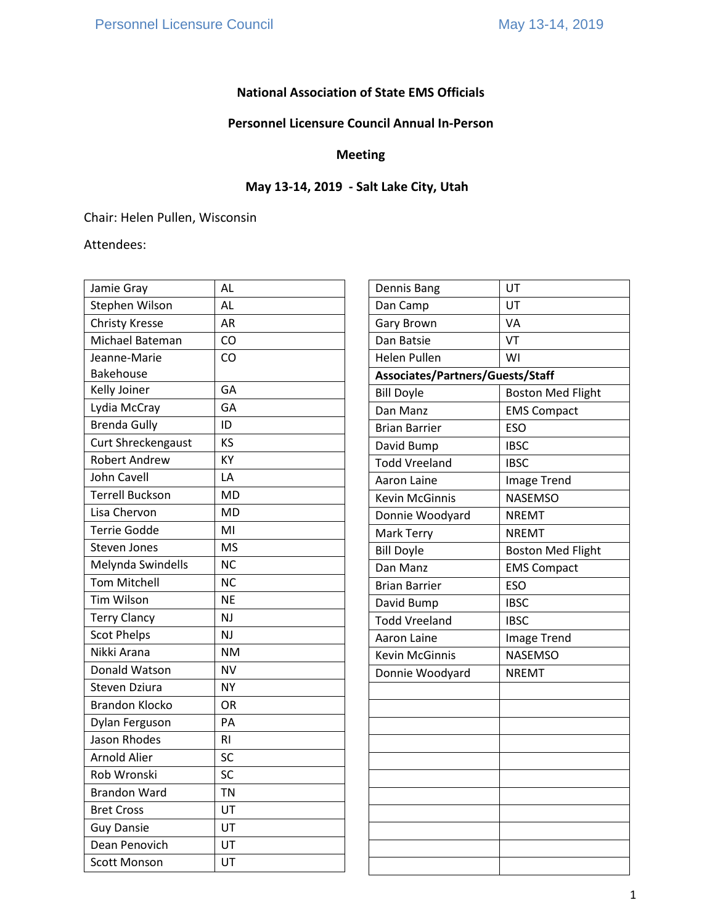# **National Association of State EMS Officials**

# **Personnel Licensure Council Annual In-Person**

# **Meeting**

# **May 13-14, 2019 - Salt Lake City, Utah**

Chair: Helen Pullen, Wisconsin

Attendees:

| Jamie Gray             | AL        |
|------------------------|-----------|
| Stephen Wilson         | AL        |
| <b>Christy Kresse</b>  | AR        |
| Michael Bateman        | CO        |
| Jeanne-Marie           | CO        |
| <b>Bakehouse</b>       |           |
| Kelly Joiner           | GA        |
| Lydia McCray           | GA        |
| <b>Brenda Gully</b>    | ID        |
| Curt Shreckengaust     | KS        |
| <b>Robert Andrew</b>   | KY        |
| <b>John Cavell</b>     | LA        |
| <b>Terrell Buckson</b> | <b>MD</b> |
| Lisa Chervon           | MD        |
| <b>Terrie Godde</b>    | MI        |
| <b>Steven Jones</b>    | <b>MS</b> |
| Melynda Swindells      | ΝC        |
| <b>Tom Mitchell</b>    | <b>NC</b> |
| <b>Tim Wilson</b>      | <b>NE</b> |
| <b>Terry Clancy</b>    | NJ        |
| <b>Scot Phelps</b>     | NJ        |
| Nikki Arana            | <b>NM</b> |
| Donald Watson          | NV        |
| Steven Dziura          | NY        |
| <b>Brandon Klocko</b>  | OR        |
| Dylan Ferguson         | PA        |
| <b>Jason Rhodes</b>    | RI        |
| <b>Arnold Alier</b>    | <b>SC</b> |
| Rob Wronski            | SC        |
| <b>Brandon Ward</b>    | <b>TN</b> |
| <b>Bret Cross</b>      | UT        |
| <b>Guy Dansie</b>      | UT        |
| Dean Penovich          | UT        |
| <b>Scott Monson</b>    | UT        |

| Dennis Bang                      | UT                       |  |
|----------------------------------|--------------------------|--|
| Dan Camp                         | UT                       |  |
| <b>Gary Brown</b>                | VA                       |  |
| Dan Batsie                       | VT                       |  |
| Helen Pullen                     | WI                       |  |
| Associates/Partners/Guests/Staff |                          |  |
| <b>Bill Doyle</b>                | <b>Boston Med Flight</b> |  |
| Dan Manz                         | <b>EMS Compact</b>       |  |
| Brian Barrier                    | <b>ESO</b>               |  |
| David Bump                       | <b>IBSC</b>              |  |
| <b>Todd Vreeland</b>             | <b>IBSC</b>              |  |
| Aaron Laine                      | Image Trend              |  |
| <b>Kevin McGinnis</b>            | <b>NASEMSO</b>           |  |
| Donnie Woodyard                  | <b>NREMT</b>             |  |
| Mark Terry                       | <b>NREMT</b>             |  |
| <b>Bill Doyle</b>                | <b>Boston Med Flight</b> |  |
| Dan Manz                         | <b>EMS Compact</b>       |  |
| <b>Brian Barrier</b>             | <b>ESO</b>               |  |
| David Bump                       | <b>IBSC</b>              |  |
| <b>Todd Vreeland</b>             | <b>IBSC</b>              |  |
| Aaron Laine                      | Image Trend              |  |
| <b>Kevin McGinnis</b>            | <b>NASEMSO</b>           |  |
| Donnie Woodyard                  | <b>NREMT</b>             |  |
|                                  |                          |  |
|                                  |                          |  |
|                                  |                          |  |
|                                  |                          |  |
|                                  |                          |  |
|                                  |                          |  |
|                                  |                          |  |
|                                  |                          |  |
|                                  |                          |  |
|                                  |                          |  |
|                                  |                          |  |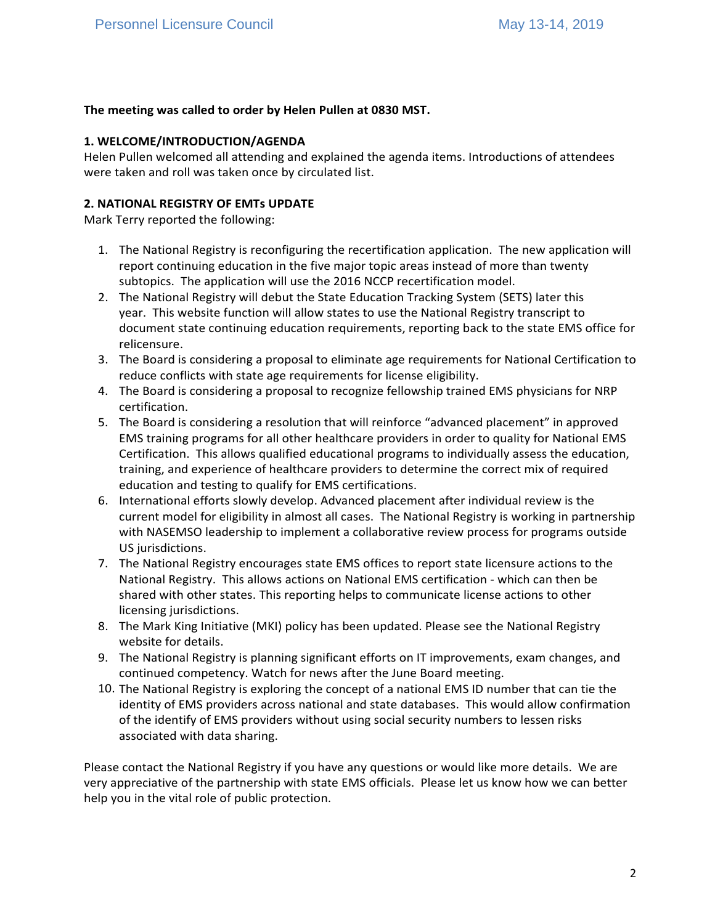## **The meeting was called to order by Helen Pullen at 0830 MST.**

#### **1. WELCOME/INTRODUCTION/AGENDA**

Helen Pullen welcomed all attending and explained the agenda items. Introductions of attendees were taken and roll was taken once by circulated list.

### **2. NATIONAL REGISTRY OF EMTs UPDATE**

Mark Terry reported the following:

- 1. The National Registry is reconfiguring the recertification application. The new application will report continuing education in the five major topic areas instead of more than twenty subtopics. The application will use the 2016 NCCP recertification model.
- 2. The National Registry will debut the State Education Tracking System (SETS) later this year. This website function will allow states to use the National Registry transcript to document state continuing education requirements, reporting back to the state EMS office for relicensure.
- 3. The Board is considering a proposal to eliminate age requirements for National Certification to reduce conflicts with state age requirements for license eligibility.
- 4. The Board is considering a proposal to recognize fellowship trained EMS physicians for NRP certification.
- 5. The Board is considering a resolution that will reinforce "advanced placement" in approved EMS training programs for all other healthcare providers in order to quality for National EMS Certification. This allows qualified educational programs to individually assess the education, training, and experience of healthcare providers to determine the correct mix of required education and testing to qualify for EMS certifications.
- 6. International efforts slowly develop. Advanced placement after individual review is the current model for eligibility in almost all cases. The National Registry is working in partnership with NASEMSO leadership to implement a collaborative review process for programs outside US jurisdictions.
- 7. The National Registry encourages state EMS offices to report state licensure actions to the National Registry. This allows actions on National EMS certification - which can then be shared with other states. This reporting helps to communicate license actions to other licensing jurisdictions.
- 8. The Mark King Initiative (MKI) policy has been updated. Please see the National Registry website for details.
- 9. The National Registry is planning significant efforts on IT improvements, exam changes, and continued competency. Watch for news after the June Board meeting.
- 10. The National Registry is exploring the concept of a national EMS ID number that can tie the identity of EMS providers across national and state databases. This would allow confirmation of the identify of EMS providers without using social security numbers to lessen risks associated with data sharing.

Please contact the National Registry if you have any questions or would like more details. We are very appreciative of the partnership with state EMS officials. Please let us know how we can better help you in the vital role of public protection.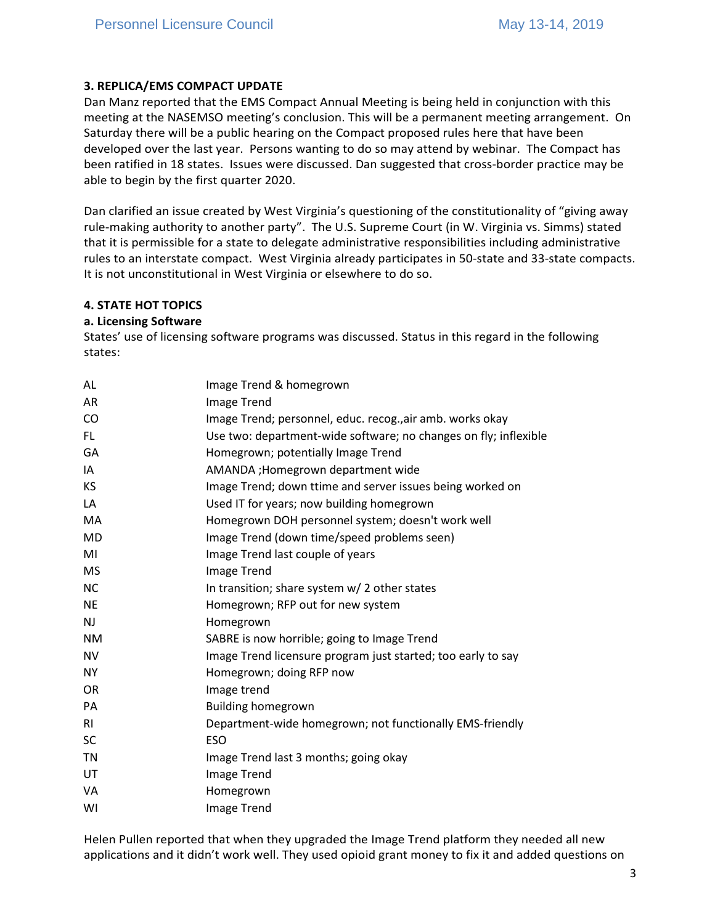## **3. REPLICA/EMS COMPACT UPDATE**

Dan Manz reported that the EMS Compact Annual Meeting is being held in conjunction with this meeting at the NASEMSO meeting's conclusion. This will be a permanent meeting arrangement. On Saturday there will be a public hearing on the Compact proposed rules here that have been developed over the last year. Persons wanting to do so may attend by webinar. The Compact has been ratified in 18 states. Issues were discussed. Dan suggested that cross-border practice may be able to begin by the first quarter 2020.

Dan clarified an issue created by West Virginia's questioning of the constitutionality of "giving away rule-making authority to another party". The U.S. Supreme Court (in W. Virginia vs. Simms) stated that it is permissible for a state to delegate administrative responsibilities including administrative rules to an interstate compact. West Virginia already participates in 50-state and 33-state compacts. It is not unconstitutional in West Virginia or elsewhere to do so.

#### **4. STATE HOT TOPICS**

#### **a. Licensing Software**

States' use of licensing software programs was discussed. Status in this regard in the following states:

| AL             | Image Trend & homegrown                                          |
|----------------|------------------------------------------------------------------|
| <b>AR</b>      | Image Trend                                                      |
| <b>CO</b>      | Image Trend; personnel, educ. recog., air amb. works okay        |
| FL.            | Use two: department-wide software; no changes on fly; inflexible |
| GA             | Homegrown; potentially Image Trend                               |
| IA             | AMANDA; Homegrown department wide                                |
| <b>KS</b>      | Image Trend; down ttime and server issues being worked on        |
| LA             | Used IT for years; now building homegrown                        |
| MA             | Homegrown DOH personnel system; doesn't work well                |
| <b>MD</b>      | Image Trend (down time/speed problems seen)                      |
| MI             | Image Trend last couple of years                                 |
| <b>MS</b>      | <b>Image Trend</b>                                               |
| <b>NC</b>      | In transition; share system w/2 other states                     |
| <b>NE</b>      | Homegrown; RFP out for new system                                |
| <b>NJ</b>      | Homegrown                                                        |
| <b>NM</b>      | SABRE is now horrible; going to Image Trend                      |
| <b>NV</b>      | Image Trend licensure program just started; too early to say     |
| <b>NY</b>      | Homegrown; doing RFP now                                         |
| <b>OR</b>      | Image trend                                                      |
| PA             | <b>Building homegrown</b>                                        |
| R <sub>l</sub> | Department-wide homegrown; not functionally EMS-friendly         |
| <b>SC</b>      | <b>ESO</b>                                                       |
| TN             | Image Trend last 3 months; going okay                            |
| UT             | Image Trend                                                      |
| VA             | Homegrown                                                        |
| WI             | <b>Image Trend</b>                                               |

Helen Pullen reported that when they upgraded the Image Trend platform they needed all new applications and it didn't work well. They used opioid grant money to fix it and added questions on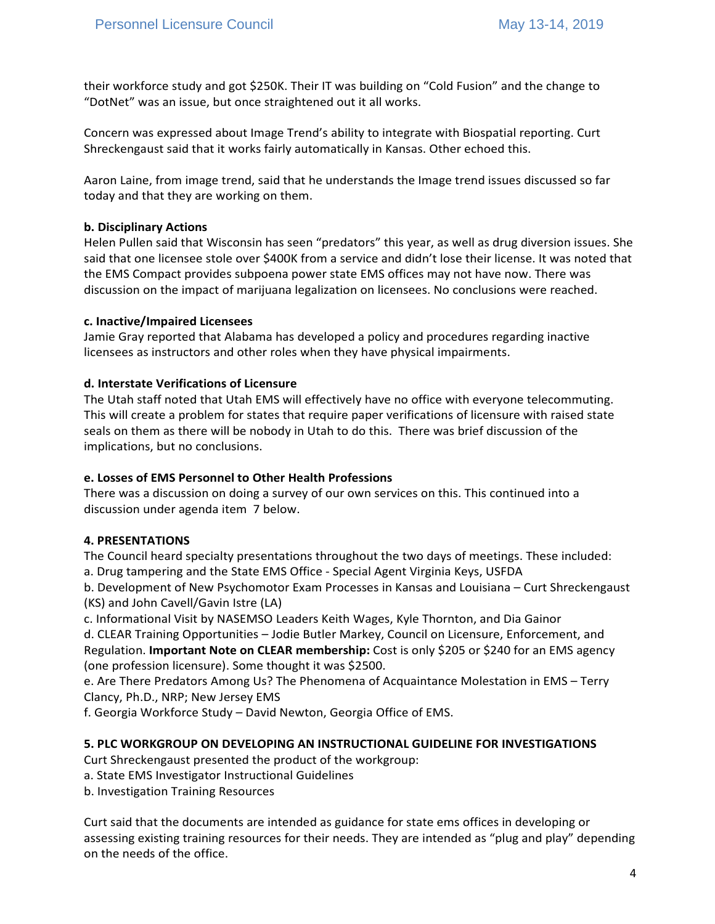their workforce study and got \$250K. Their IT was building on "Cold Fusion" and the change to "DotNet" was an issue, but once straightened out it all works.

Concern was expressed about Image Trend's ability to integrate with Biospatial reporting. Curt Shreckengaust said that it works fairly automatically in Kansas. Other echoed this.

Aaron Laine, from image trend, said that he understands the Image trend issues discussed so far today and that they are working on them.

#### **b. Disciplinary Actions**

Helen Pullen said that Wisconsin has seen "predators" this year, as well as drug diversion issues. She said that one licensee stole over \$400K from a service and didn't lose their license. It was noted that the EMS Compact provides subpoena power state EMS offices may not have now. There was discussion on the impact of marijuana legalization on licensees. No conclusions were reached.

#### **c. Inactive/Impaired Licensees**

Jamie Gray reported that Alabama has developed a policy and procedures regarding inactive licensees as instructors and other roles when they have physical impairments.

#### **d. Interstate Verifications of Licensure**

The Utah staff noted that Utah EMS will effectively have no office with everyone telecommuting. This will create a problem for states that require paper verifications of licensure with raised state seals on them as there will be nobody in Utah to do this. There was brief discussion of the implications, but no conclusions.

#### **e. Losses of EMS Personnel to Other Health Professions**

There was a discussion on doing a survey of our own services on this. This continued into a discussion under agenda item 7 below.

#### **4. PRESENTATIONS**

The Council heard specialty presentations throughout the two days of meetings. These included: a. Drug tampering and the State EMS Office - Special Agent Virginia Keys, USFDA

b. Development of New Psychomotor Exam Processes in Kansas and Louisiana – Curt Shreckengaust (KS) and John Cavell/Gavin Istre (LA)

c. Informational Visit by NASEMSO Leaders Keith Wages, Kyle Thornton, and Dia Gainor

d. CLEAR Training Opportunities – Jodie Butler Markey, Council on Licensure, Enforcement, and Regulation. **Important Note on CLEAR membership:** Cost is only \$205 or \$240 for an EMS agency (one profession licensure). Some thought it was \$2500.

e. Are There Predators Among Us? The Phenomena of Acquaintance Molestation in EMS – Terry Clancy, Ph.D., NRP; New Jersey EMS

f. Georgia Workforce Study – David Newton, Georgia Office of EMS.

#### **5. PLC WORKGROUP ON DEVELOPING AN INSTRUCTIONAL GUIDELINE FOR INVESTIGATIONS**

Curt Shreckengaust presented the product of the workgroup:

- a. State EMS Investigator Instructional Guidelines
- b. Investigation Training Resources

Curt said that the documents are intended as guidance for state ems offices in developing or assessing existing training resources for their needs. They are intended as "plug and play" depending on the needs of the office.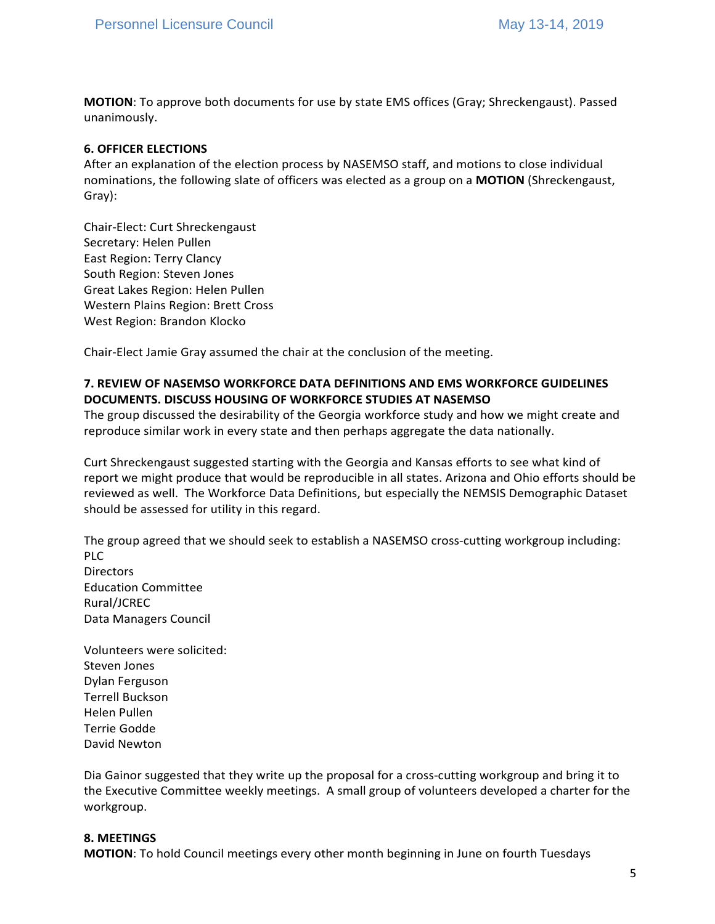**MOTION**: To approve both documents for use by state EMS offices (Gray; Shreckengaust). Passed unanimously.

#### **6. OFFICER ELECTIONS**

After an explanation of the election process by NASEMSO staff, and motions to close individual nominations, the following slate of officers was elected as a group on a **MOTION** (Shreckengaust, Gray):

Chair-Elect: Curt Shreckengaust Secretary: Helen Pullen East Region: Terry Clancy South Region: Steven Jones Great Lakes Region: Helen Pullen Western Plains Region: Brett Cross West Region: Brandon Klocko

Chair-Elect Jamie Gray assumed the chair at the conclusion of the meeting.

## **7. REVIEW OF NASEMSO WORKFORCE DATA DEFINITIONS AND EMS WORKFORCE GUIDELINES DOCUMENTS. DISCUSS HOUSING OF WORKFORCE STUDIES AT NASEMSO**

The group discussed the desirability of the Georgia workforce study and how we might create and reproduce similar work in every state and then perhaps aggregate the data nationally.

Curt Shreckengaust suggested starting with the Georgia and Kansas efforts to see what kind of report we might produce that would be reproducible in all states. Arizona and Ohio efforts should be reviewed as well. The Workforce Data Definitions, but especially the NEMSIS Demographic Dataset should be assessed for utility in this regard.

The group agreed that we should seek to establish a NASEMSO cross-cutting workgroup including: PLC **Directors** Education Committee Rural/JCREC Data Managers Council

Volunteers were solicited: Steven Jones Dylan Ferguson Terrell Buckson Helen Pullen Terrie Godde David Newton

Dia Gainor suggested that they write up the proposal for a cross-cutting workgroup and bring it to the Executive Committee weekly meetings. A small group of volunteers developed a charter for the workgroup.

#### **8. MEETINGS**

**MOTION**: To hold Council meetings every other month beginning in June on fourth Tuesdays